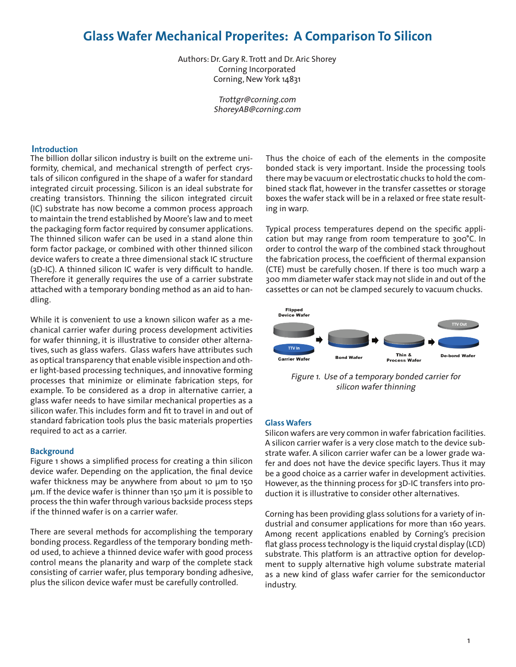# **Glass Wafer Mechanical Properites: A Comparison To Silicon**

Authors: Dr. Gary R. Trott and Dr. Aric Shorey Corning Incorporated Corning, New York 14831

> Trottgr@corning.com ShoreyAB@corning.com

### **Introduction**

The billion dollar silicon industry is built on the extreme uniformity, chemical, and mechanical strength of perfect crystals of silicon configured in the shape of a wafer for standard integrated circuit processing. Silicon is an ideal substrate for creating transistors. Thinning the silicon integrated circuit (IC) substrate has now become a common process approach to maintain the trend established by Moore's law and to meet the packaging form factor required by consumer applications. The thinned silicon wafer can be used in a stand alone thin form factor package, or combined with other thinned silicon device wafers to create a three dimensional stack IC structure (3D-IC). A thinned silicon IC wafer is very difficult to handle. Therefore it generally requires the use of a carrier substrate attached with a temporary bonding method as an aid to handling.

While it is convenient to use a known silicon wafer as a mechanical carrier wafer during process development activities for wafer thinning, it is illustrative to consider other alternatives, such as glass wafers. Glass wafers have attributes such as optical transparency that enable visible inspection and other light-based processing techniques, and innovative forming processes that minimize or eliminate fabrication steps, for example. To be considered as a drop in alternative carrier, a glass wafer needs to have similar mechanical properties as a silicon wafer. This includes form and fit to travel in and out of standard fabrication tools plus the basic materials properties required to act as a carrier.

#### **Background**

Figure 1 shows a simplified process for creating a thin silicon device wafer. Depending on the application, the final device wafer thickness may be anywhere from about 10 μm to 150 μm. If the device wafer is thinner than 150 μm it is possible to process the thin wafer through various backside process steps if the thinned wafer is on a carrier wafer.

There are several methods for accomplishing the temporary bonding process. Regardless of the temporary bonding method used, to achieve a thinned device wafer with good process control means the planarity and warp of the complete stack consisting of carrier wafer, plus temporary bonding adhesive, plus the silicon device wafer must be carefully controlled.

Thus the choice of each of the elements in the composite bonded stack is very important. Inside the processing tools there may be vacuum or electrostatic chucks to hold the combined stack flat, however in the transfer cassettes or storage boxes the wafer stack will be in a relaxed or free state resulting in warp.

Typical process temperatures depend on the specific application but may range from room temperature to 300°C. In order to control the warp of the combined stack throughout the fabrication process, the coefficient of thermal expansion (CTE) must be carefully chosen. If there is too much warp a 300 mm diameter wafer stack may not slide in and out of the cassettes or can not be clamped securely to vacuum chucks.



Figure 1. Use of a temporary bonded carrier for silicon wafer thinning

## **Glass Wafers**

Silicon wafers are very common in wafer fabrication facilities. A silicon carrier wafer is a very close match to the device substrate wafer. A silicon carrier wafer can be a lower grade wafer and does not have the device specific layers. Thus it may be a good choice as a carrier wafer in development activities. However, as the thinning process for 3D-IC transfers into production it is illustrative to consider other alternatives.

Corning has been providing glass solutions for a variety of industrial and consumer applications for more than 160 years. Among recent applications enabled by Corning's precision flat glass process technology is the liquid crystal display (LCD) substrate. This platform is an attractive option for development to supply alternative high volume substrate material as a new kind of glass wafer carrier for the semiconductor industry.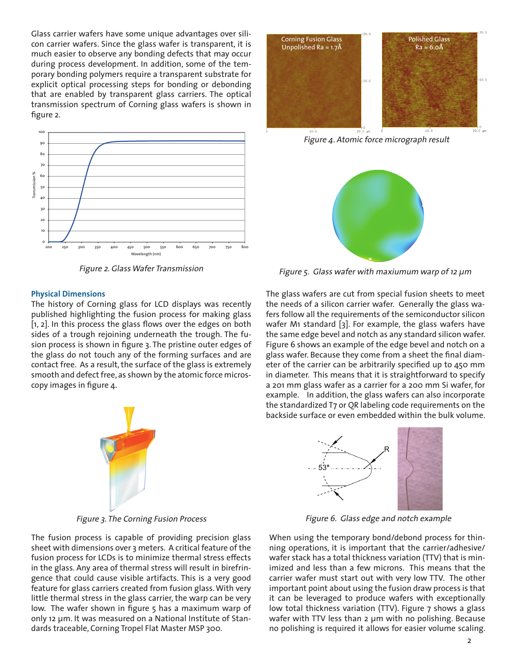Glass carrier wafers have some unique advantages over silicon carrier wafers. Since the glass wafer is transparent, it is much easier to observe any bonding defects that may occur during process development. In addition, some of the temporary bonding polymers require a transparent substrate for explicit optical processing steps for bonding or debonding that are enabled by transparent glass carriers. The optical transmission spectrum of Corning glass wafers is shown in figure 2.



Figure 2. Glass Wafer Transmission

#### **Physical Dimensions**

The history of Corning glass for LCD displays was recently published highlighting the fusion process for making glass [1, 2]. In this process the glass flows over the edges on both sides of a trough rejoining underneath the trough. The fusion process is shown in figure 3. The pristine outer edges of the glass do not touch any of the forming surfaces and are contact free. As a result, the surface of the glass is extremely smooth and defect free, as shown by the atomic force microscopy images in figure 4.



Figure 3. The Corning Fusion Process

The fusion process is capable of providing precision glass sheet with dimensions over 3 meters. A critical feature of the fusion process for LCDs is to minimize thermal stress effects in the glass. Any area of thermal stress will result in birefringence that could cause visible artifacts. This is a very good feature for glass carriers created from fusion glass. With very little thermal stress in the glass carrier, the warp can be very low. The wafer shown in figure 5 has a maximum warp of only 12 μm. It was measured on a National Institute of Standards traceable, Corning Tropel Flat Master MSP 300.



Figure 4. Atomic force micrograph result



Figure 5. Glass wafer with maxiumum warp of 12 μm

The glass wafers are cut from special fusion sheets to meet the needs of a silicon carrier wafer. Generally the glass wafers follow all the requirements of the semiconductor silicon wafer M1 standard [3]. For example, the glass wafers have the same edge bevel and notch as any standard silicon wafer. Figure 6 shows an example of the edge bevel and notch on a glass wafer. Because they come from a sheet the final diameter of the carrier can be arbitrarily specified up to 450 mm in diameter. This means that it is straightforward to specify a 201 mm glass wafer as a carrier for a 200 mm Si wafer, for example. In addition, the glass wafers can also incorporate the standardized T7 or QR labeling code requirements on the backside surface or even embedded within the bulk volume.



Figure 6. Glass edge and notch example

When using the temporary bond/debond process for thinning operations, it is important that the carrier/adhesive/ wafer stack has a total thickness variation (TTV) that is minimized and less than a few microns. This means that the carrier wafer must start out with very low TTV. The other important point about using the fusion draw process is that it can be leveraged to produce wafers with exceptionally low total thickness variation (TTV). Figure 7 shows a glass wafer with TTV less than 2 μm with no polishing. Because no polishing is required it allows for easier volume scaling.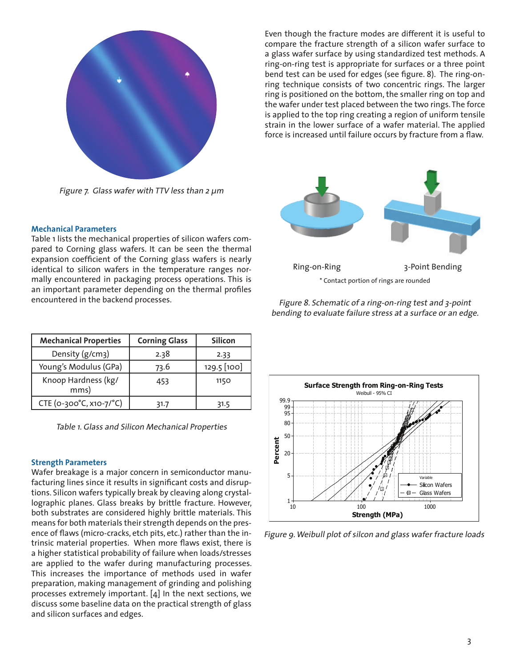

Figure 7. Glass wafer with TTV less than 2 μm

# **Mechanical Parameters**

Table 1 lists the mechanical properties of silicon wafers compared to Corning glass wafers. It can be seen the thermal expansion coefficient of the Corning glass wafers is nearly identical to silicon wafers in the temperature ranges normally encountered in packaging process operations. This is an important parameter depending on the thermal profiles encountered in the backend processes.

| <b>Mechanical Properties</b> | <b>Corning Glass</b> | <b>Silicon</b> |
|------------------------------|----------------------|----------------|
| Density (g/cm3)              | 2.38                 | 2.33           |
| Young's Modulus (GPa)        | 73.6                 | 129.5 [100]    |
| Knoop Hardness (kg/<br>mms)  | 453                  | 1150           |
| CTE (0-300°C, x10-7/°C)      | 31.7                 | 31.5           |

Table 1. Glass and Silicon Mechanical Properties

#### **Strength Parameters**

Wafer breakage is a major concern in semiconductor manufacturing lines since it results in significant costs and disruptions. Silicon wafers typically break by cleaving along crystallographic planes. Glass breaks by brittle fracture. However, both substrates are considered highly brittle materials. This means for both materials their strength depends on the presence of flaws (micro-cracks, etch pits, etc.) rather than the intrinsic material properties. When more flaws exist, there is a higher statistical probability of failure when loads/stresses are applied to the wafer during manufacturing processes. This increases the importance of methods used in wafer preparation, making management of grinding and polishing processes extremely important. [4] In the next sections, we discuss some baseline data on the practical strength of glass and silicon surfaces and edges.

Even though the fracture modes are different it is useful to compare the fracture strength of a silicon wafer surface to a glass wafer surface by using standardized test methods. A ring-on-ring test is appropriate for surfaces or a three point bend test can be used for edges (see figure. 8). The ring-onring technique consists of two concentric rings. The larger ring is positioned on the bottom, the smaller ring on top and the wafer under test placed between the two rings. The force is applied to the top ring creating a region of uniform tensile strain in the lower surface of a wafer material. The applied force is increased until failure occurs by fracture from a flaw.



Figure 8. Schematic of a ring-on-ring test and 3-point bending to evaluate failure stress at a surface or an edge.



Figure 9. Weibull plot of silcon and glass wafer fracture loads